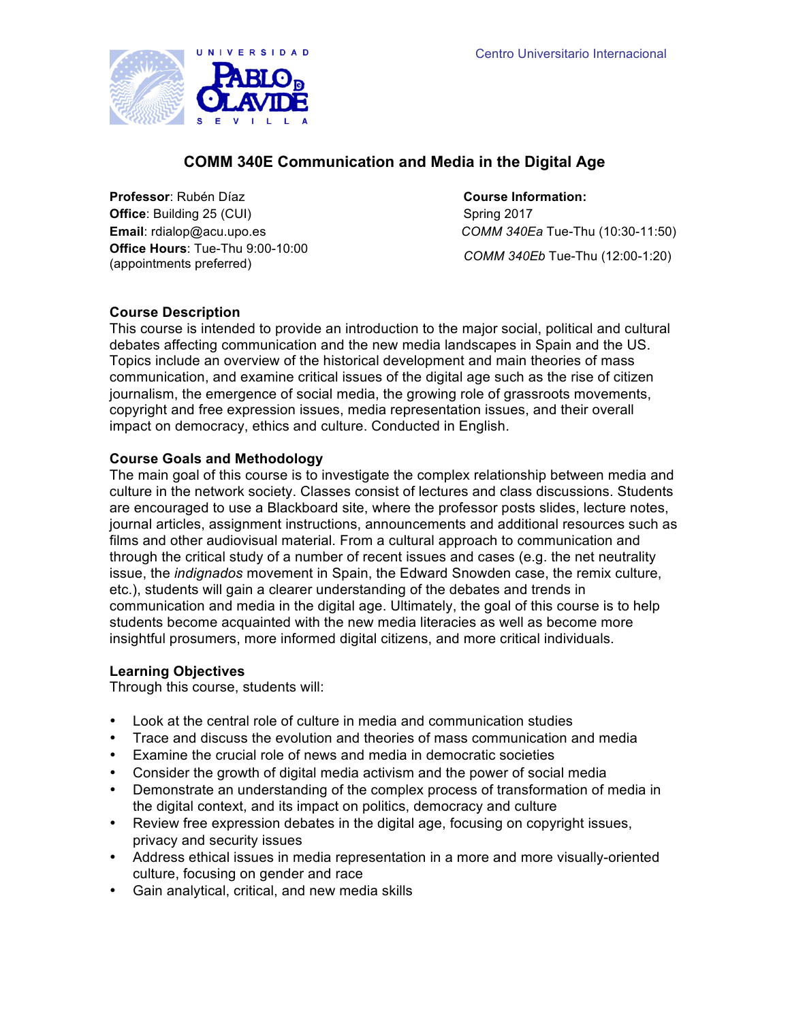

# **COMM 340E Communication and Media in the Digital Age**

**Professor**: Rubén Díaz **Course Information: Office**: Building 25 (CUI) Spring 2017 **Office Hours**: Tue-Thu 9:00-10:00 (appointments preferred) *COMM 340Eb* Tue-Thu (12:00-1:20)

**Email**: rdialop@acu.upo.es *COMM 340Ea* Tue-Thu (10:30-11:50)

**Course Description**

This course is intended to provide an introduction to the major social, political and cultural debates affecting communication and the new media landscapes in Spain and the US. Topics include an overview of the historical development and main theories of mass communication, and examine critical issues of the digital age such as the rise of citizen journalism, the emergence of social media, the growing role of grassroots movements, copyright and free expression issues, media representation issues, and their overall impact on democracy, ethics and culture. Conducted in English.

# **Course Goals and Methodology**

The main goal of this course is to investigate the complex relationship between media and culture in the network society. Classes consist of lectures and class discussions. Students are encouraged to use a Blackboard site, where the professor posts slides, lecture notes, journal articles, assignment instructions, announcements and additional resources such as films and other audiovisual material. From a cultural approach to communication and through the critical study of a number of recent issues and cases (e.g. the net neutrality issue, the *indignados* movement in Spain, the Edward Snowden case, the remix culture, etc.), students will gain a clearer understanding of the debates and trends in communication and media in the digital age. Ultimately, the goal of this course is to help students become acquainted with the new media literacies as well as become more insightful prosumers, more informed digital citizens, and more critical individuals.

# **Learning Objectives**

Through this course, students will:

- Look at the central role of culture in media and communication studies
- Trace and discuss the evolution and theories of mass communication and media
- Examine the crucial role of news and media in democratic societies
- Consider the growth of digital media activism and the power of social media
- Demonstrate an understanding of the complex process of transformation of media in the digital context, and its impact on politics, democracy and culture
- Review free expression debates in the digital age, focusing on copyright issues, privacy and security issues
- Address ethical issues in media representation in a more and more visually-oriented culture, focusing on gender and race
- Gain analytical, critical, and new media skills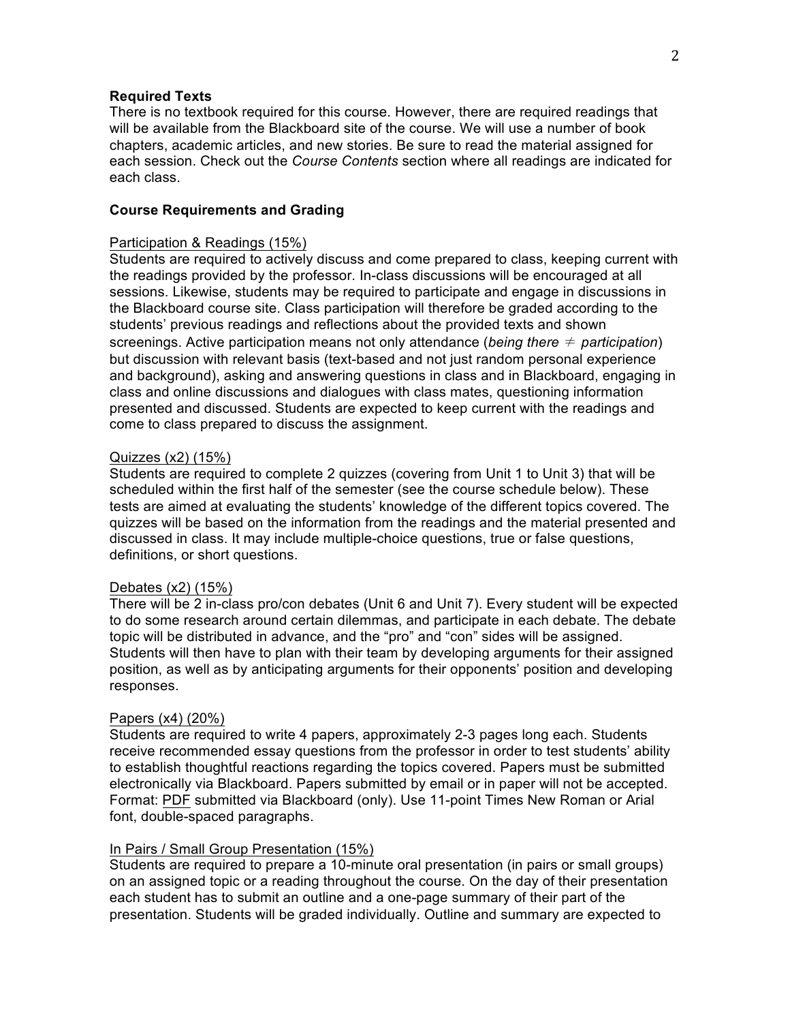### **Required Texts**

There is no textbook required for this course. However, there are required readings that will be available from the Blackboard site of the course. We will use a number of book chapters, academic articles, and new stories. Be sure to read the material assigned for each session. Check out the *Course Contents* section where all readings are indicated for each class.

# **Course Requirements and Grading**

#### Participation & Readings (15%)

Students are required to actively discuss and come prepared to class, keeping current with the readings provided by the professor. In-class discussions will be encouraged at all sessions. Likewise, students may be required to participate and engage in discussions in the Blackboard course site. Class participation will therefore be graded according to the students' previous readings and reflections about the provided texts and shown screenings. Active participation means not only attendance (*being there* ≠ *participation*) but discussion with relevant basis (text-based and not just random personal experience and background), asking and answering questions in class and in Blackboard, engaging in class and online discussions and dialogues with class mates, questioning information presented and discussed. Students are expected to keep current with the readings and come to class prepared to discuss the assignment.

#### Quizzes (x2) (15%)

Students are required to complete 2 quizzes (covering from Unit 1 to Unit 3) that will be scheduled within the first half of the semester (see the course schedule below). These tests are aimed at evaluating the students' knowledge of the different topics covered. The quizzes will be based on the information from the readings and the material presented and discussed in class. It may include multiple-choice questions, true or false questions, definitions, or short questions.

#### Debates (x2) (15%)

There will be 2 in-class pro/con debates (Unit 6 and Unit 7). Every student will be expected to do some research around certain dilemmas, and participate in each debate. The debate topic will be distributed in advance, and the "pro" and "con" sides will be assigned. Students will then have to plan with their team by developing arguments for their assigned position, as well as by anticipating arguments for their opponents' position and developing responses.

#### Papers (x4) (20%)

Students are required to write 4 papers, approximately 2-3 pages long each. Students receive recommended essay questions from the professor in order to test students' ability to establish thoughtful reactions regarding the topics covered. Papers must be submitted electronically via Blackboard. Papers submitted by email or in paper will not be accepted. Format: PDF submitted via Blackboard (only). Use 11-point Times New Roman or Arial font, double-spaced paragraphs.

#### In Pairs / Small Group Presentation (15%)

Students are required to prepare a 10-minute oral presentation (in pairs or small groups) on an assigned topic or a reading throughout the course. On the day of their presentation each student has to submit an outline and a one-page summary of their part of the presentation. Students will be graded individually. Outline and summary are expected to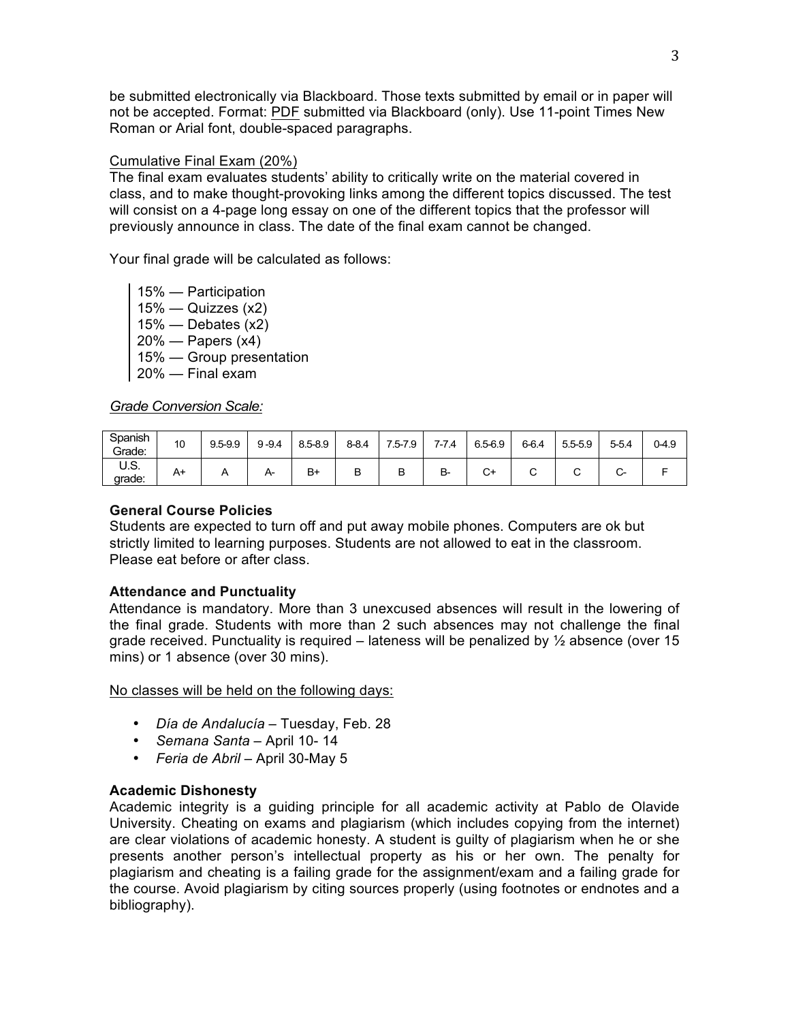be submitted electronically via Blackboard. Those texts submitted by email or in paper will not be accepted. Format: PDF submitted via Blackboard (only). Use 11-point Times New Roman or Arial font, double-spaced paragraphs.

## Cumulative Final Exam (20%)

The final exam evaluates students' ability to critically write on the material covered in class, and to make thought-provoking links among the different topics discussed. The test will consist on a 4-page long essay on one of the different topics that the professor will previously announce in class. The date of the final exam cannot be changed.

Your final grade will be calculated as follows:

15% — Participation  $15\%$  — Quizzes (x2)  $15\%$  — Debates (x2) 20% — Papers (x4) 15% — Group presentation 20% — Final exam

*Grade Conversion Scale:*

| Spanish<br>Grade: | 10 | $9.5 - 9.9$ | $9 - 9.4$ | $8.5 - 8.9$ | $8 - 8.4$ | 7.5-7.9 | 7-7.4 | 6.5-6.9 | $6 - 6.4$ | $5.5 - 5.9$ | $5 - 5.4$         | $0 - 4.9$ |
|-------------------|----|-------------|-----------|-------------|-----------|---------|-------|---------|-----------|-------------|-------------------|-----------|
| U.S.<br>grade:    | A+ |             | A         | $B+$        | В         | D       | B-    | С+      | ັ         | ╰           | ∽<br>$\checkmark$ |           |

## **General Course Policies**

Students are expected to turn off and put away mobile phones. Computers are ok but strictly limited to learning purposes. Students are not allowed to eat in the classroom. Please eat before or after class.

# **Attendance and Punctuality**

Attendance is mandatory. More than 3 unexcused absences will result in the lowering of the final grade. Students with more than 2 such absences may not challenge the final grade received. Punctuality is required – lateness will be penalized by  $\frac{1}{2}$  absence (over 15 mins) or 1 absence (over 30 mins).

No classes will be held on the following days:

- *Día de Andalucía* Tuesday, Feb. 28
- *Semana Santa* April 10- 14
- *Feria de Abril* April 30-May 5

# **Academic Dishonesty**

Academic integrity is a guiding principle for all academic activity at Pablo de Olavide University. Cheating on exams and plagiarism (which includes copying from the internet) are clear violations of academic honesty. A student is guilty of plagiarism when he or she presents another person's intellectual property as his or her own. The penalty for plagiarism and cheating is a failing grade for the assignment/exam and a failing grade for the course. Avoid plagiarism by citing sources properly (using footnotes or endnotes and a bibliography).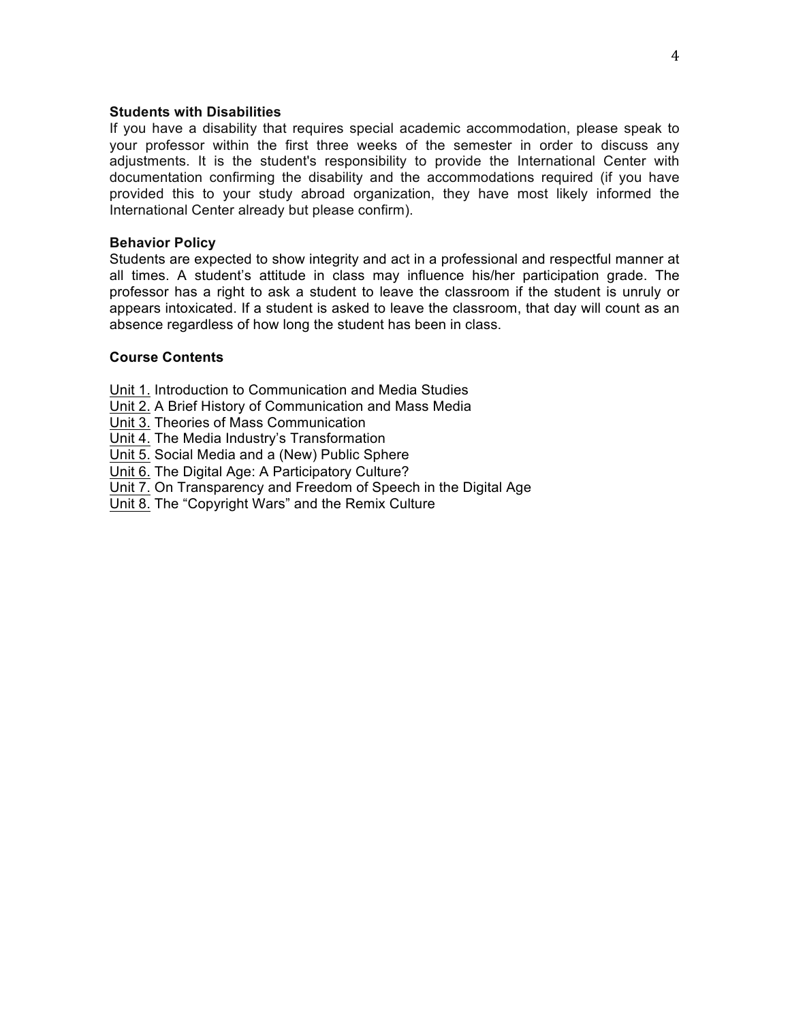## **Students with Disabilities**

If you have a disability that requires special academic accommodation, please speak to your professor within the first three weeks of the semester in order to discuss any adjustments. It is the student's responsibility to provide the International Center with documentation confirming the disability and the accommodations required (if you have provided this to your study abroad organization, they have most likely informed the International Center already but please confirm).

## **Behavior Policy**

Students are expected to show integrity and act in a professional and respectful manner at all times. A student's attitude in class may influence his/her participation grade. The professor has a right to ask a student to leave the classroom if the student is unruly or appears intoxicated. If a student is asked to leave the classroom, that day will count as an absence regardless of how long the student has been in class.

# **Course Contents**

Unit 1. Introduction to Communication and Media Studies

Unit 2. A Brief History of Communication and Mass Media

Unit 3. Theories of Mass Communication

Unit 4. The Media Industry's Transformation

Unit 5. Social Media and a (New) Public Sphere

Unit 6. The Digital Age: A Participatory Culture?

Unit 7. On Transparency and Freedom of Speech in the Digital Age

Unit 8. The "Copyright Wars" and the Remix Culture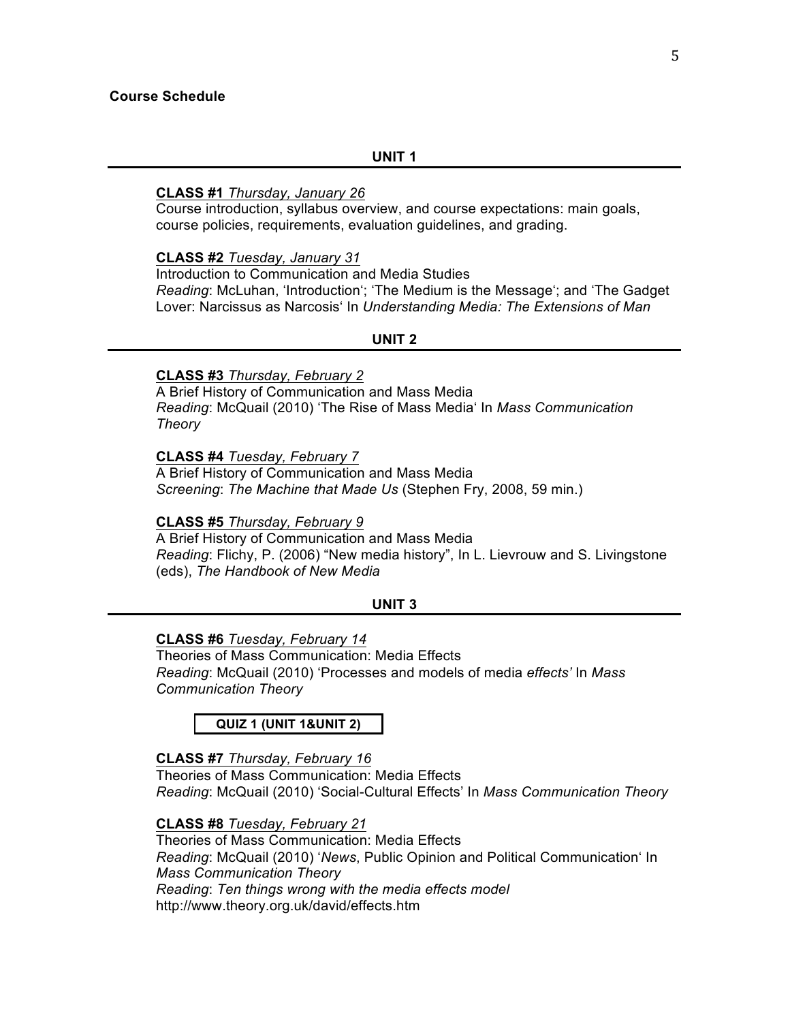#### **UNIT 1**

## **CLASS #1** *Thursday, January 26*

Course introduction, syllabus overview, and course expectations: main goals, course policies, requirements, evaluation guidelines, and grading.

## **CLASS #2** *Tuesday, January 31*

Introduction to Communication and Media Studies *Reading*: McLuhan, 'Introduction'; 'The Medium is the Message'; and 'The Gadget Lover: Narcissus as Narcosis' In *Understanding Media: The Extensions of Man*

### **UNIT 2**

## **CLASS #3** *Thursday, February 2*

A Brief History of Communication and Mass Media *Reading*: McQuail (2010) 'The Rise of Mass Media' In *Mass Communication Theory*

**CLASS #4** *Tuesday, February 7*

A Brief History of Communication and Mass Media *Screening*: *The Machine that Made Us* (Stephen Fry, 2008, 59 min.)

#### **CLASS #5** *Thursday, February 9*

A Brief History of Communication and Mass Media *Reading*: Flichy, P. (2006) "New media history", In L. Lievrouw and S. Livingstone (eds), *The Handbook of New Media*

## **UNIT 3**

#### **CLASS #6** *Tuesday, February 14*

Theories of Mass Communication: Media Effects *Reading*: McQuail (2010) 'Processes and models of media *effects'* In *Mass Communication Theory*

**QUIZ 1 (UNIT 1&UNIT 2)**

# **CLASS #7** *Thursday, February 16*

Theories of Mass Communication: Media Effects *Reading*: McQuail (2010) 'Social-Cultural Effects' In *Mass Communication Theory*

## **CLASS #8** *Tuesday, February 21*

Theories of Mass Communication: Media Effects *Reading*: McQuail (2010) '*News*, Public Opinion and Political Communication' In *Mass Communication Theory Reading*: *Ten things wrong with the media effects model*  http://www.theory.org.uk/david/effects.htm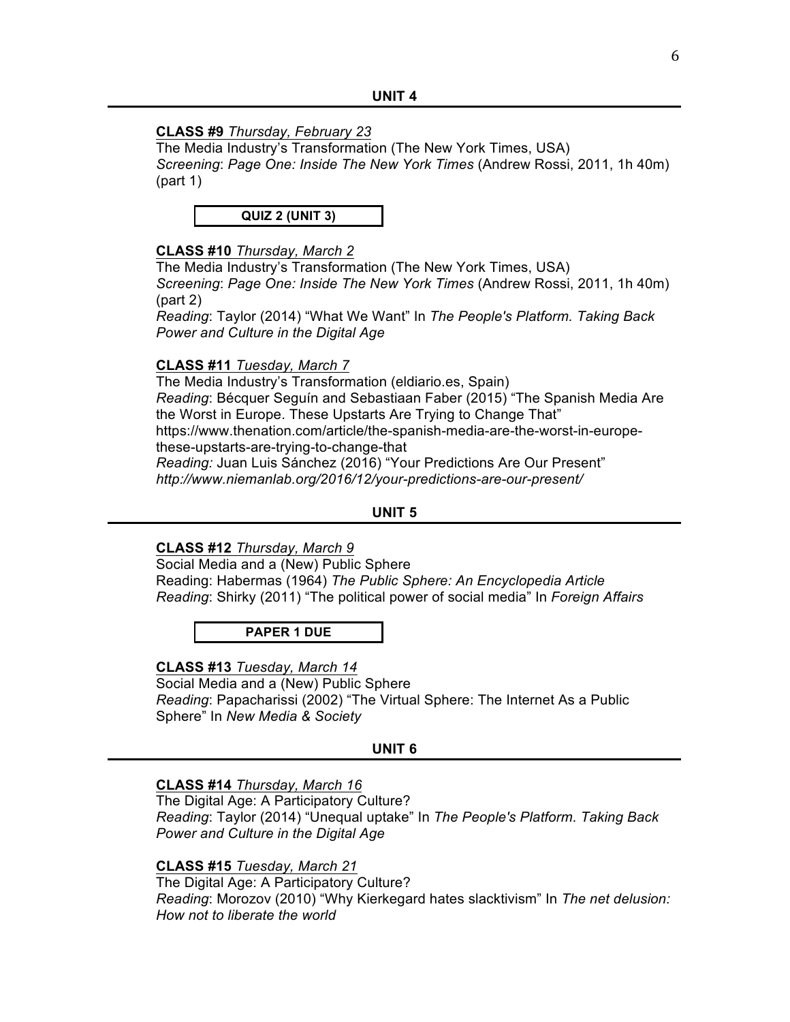## **CLASS #9** *Thursday, February 23*

The Media Industry's Transformation (The New York Times, USA) *Screening*: *Page One: Inside The New York Times* (Andrew Rossi, 2011, 1h 40m) (part 1)

**QUIZ 2 (UNIT 3)**

## **CLASS #10** *Thursday, March 2*

The Media Industry's Transformation (The New York Times, USA) *Screening*: *Page One: Inside The New York Times* (Andrew Rossi, 2011, 1h 40m) (part 2)

*Reading*: Taylor (2014) "What We Want" In *The People's Platform. Taking Back Power and Culture in the Digital Age*

## **CLASS #11** *Tuesday, March 7*

The Media Industry's Transformation (eldiario.es, Spain) *Reading*: Bécquer Seguín and Sebastiaan Faber (2015) "The Spanish Media Are the Worst in Europe. These Upstarts Are Trying to Change That" https://www.thenation.com/article/the-spanish-media-are-the-worst-in-europethese-upstarts-are-trying-to-change-that *Reading:* Juan Luis Sánchez (2016) "Your Predictions Are Our Present" *http://www.niemanlab.org/2016/12/your-predictions-are-our-present/*

## **UNIT 5**

## **CLASS #12** *Thursday, March 9*

Social Media and a (New) Public Sphere Reading: Habermas (1964) *The Public Sphere: An Encyclopedia Article Reading*: Shirky (2011) "The political power of social media" In *Foreign Affairs*

**PAPER 1 DUE**

## **CLASS #13** *Tuesday, March 14*

Social Media and a (New) Public Sphere *Reading*: Papacharissi (2002) "The Virtual Sphere: The Internet As a Public Sphere" In *New Media & Society*

#### **UNIT 6**

#### **CLASS #14** *Thursday, March 16*

The Digital Age: A Participatory Culture? *Reading*: Taylor (2014) "Unequal uptake" In *The People's Platform. Taking Back Power and Culture in the Digital Age*

**CLASS #15** *Tuesday, March 21*

The Digital Age: A Participatory Culture? *Reading*: Morozov (2010) "Why Kierkegard hates slacktivism" In *The net delusion: How not to liberate the world*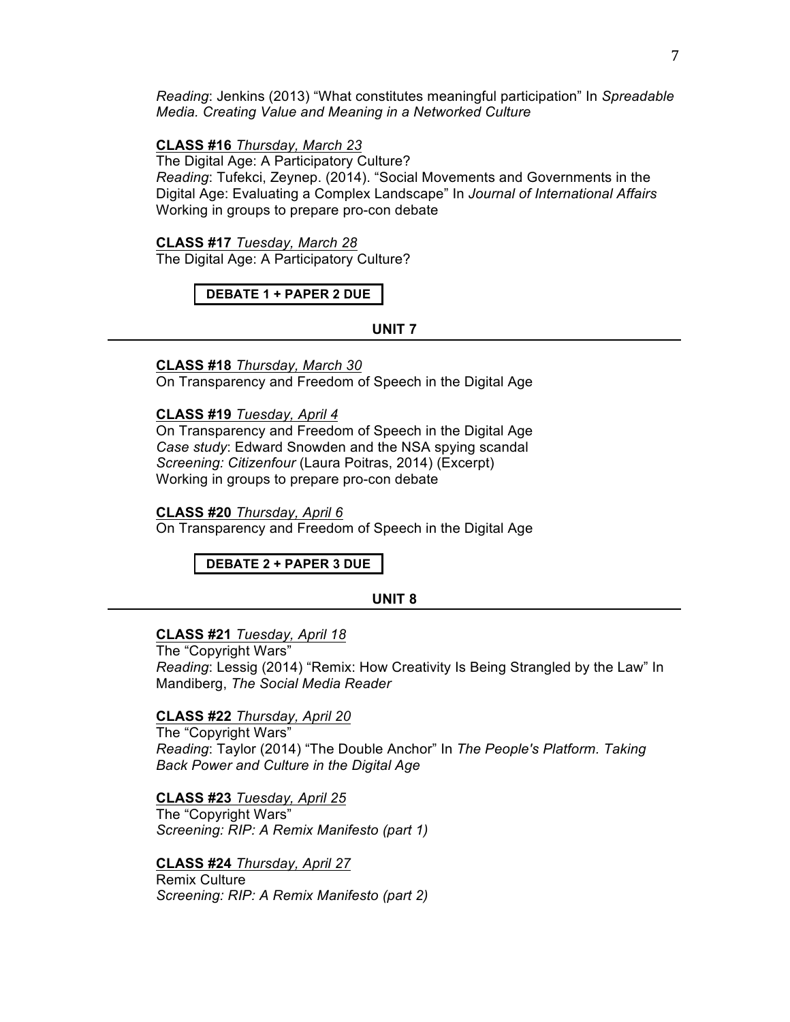*Reading*: Jenkins (2013) "What constitutes meaningful participation" In *Spreadable Media. Creating Value and Meaning in a Networked Culture*

#### **CLASS #16** *Thursday, March 23*

The Digital Age: A Participatory Culture? *Reading*: Tufekci, Zeynep. (2014). "Social Movements and Governments in the Digital Age: Evaluating a Complex Landscape" In *Journal of International Affairs* Working in groups to prepare pro-con debate

## **CLASS #17** *Tuesday, March 28*

The Digital Age: A Participatory Culture?

### **DEBATE 1 + PAPER 2 DUE**

#### **UNIT 7**

**CLASS #18** *Thursday, March 30*

On Transparency and Freedom of Speech in the Digital Age

## **CLASS #19** *Tuesday, April 4*

On Transparency and Freedom of Speech in the Digital Age *Case study*: Edward Snowden and the NSA spying scandal *Screening: Citizenfour* (Laura Poitras, 2014) (Excerpt) Working in groups to prepare pro-con debate

#### **CLASS #20** *Thursday, April 6*

On Transparency and Freedom of Speech in the Digital Age

**DEBATE 2 + PAPER 3 DUE**

#### **UNIT 8**

## **CLASS #21** *Tuesday, April 18*

The "Copyright Wars" *Reading*: Lessig (2014) "Remix: How Creativity Is Being Strangled by the Law" In Mandiberg, *The Social Media Reader*

## **CLASS #22** *Thursday, April 20*

The "Copyright Wars" *Reading*: Taylor (2014) "The Double Anchor" In *The People's Platform. Taking Back Power and Culture in the Digital Age*

**CLASS #23** *Tuesday, April 25* The "Copyright Wars"

*Screening: RIP: A Remix Manifesto (part 1)*

**CLASS #24** *Thursday, April 27* Remix Culture *Screening: RIP: A Remix Manifesto (part 2)*